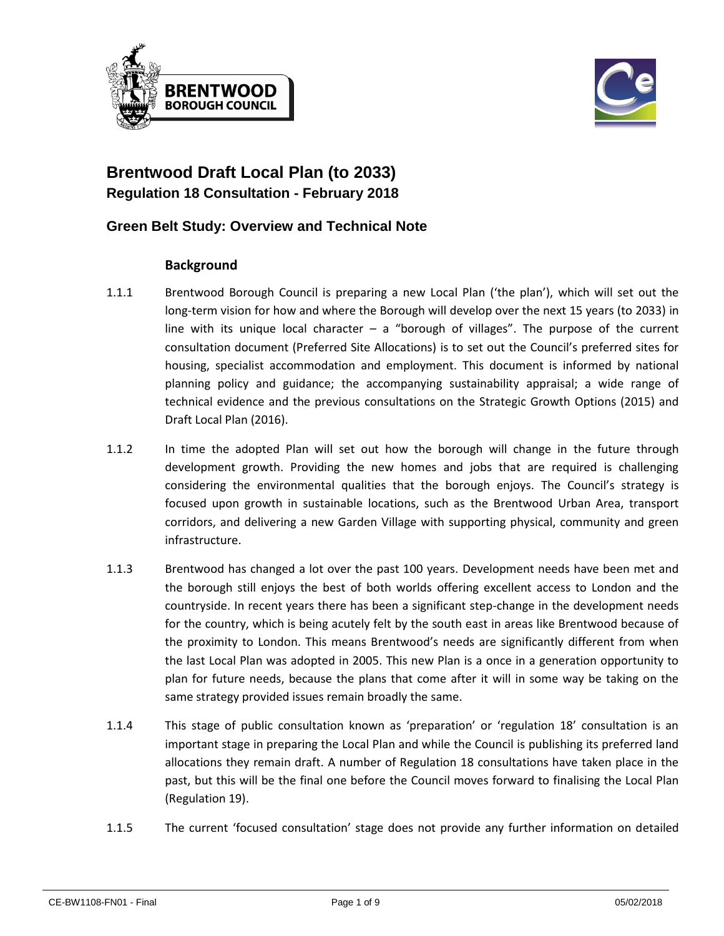



# **Brentwood Draft Local Plan (to 2033) Regulation 18 Consultation - February 2018**

## **Green Belt Study: Overview and Technical Note**

#### **Background**

- 1.1.1 Brentwood Borough Council is preparing a new Local Plan ('the plan'), which will set out the long-term vision for how and where the Borough will develop over the next 15 years (to 2033) in line with its unique local character – a "borough of villages". The purpose of the current consultation document (Preferred Site Allocations) is to set out the Council's preferred sites for housing, specialist accommodation and employment. This document is informed by national planning policy and guidance; the accompanying sustainability appraisal; a wide range of technical evidence and the previous consultations on the Strategic Growth Options (2015) and Draft Local Plan (2016).
- 1.1.2 In time the adopted Plan will set out how the borough will change in the future through development growth. Providing the new homes and jobs that are required is challenging considering the environmental qualities that the borough enjoys. The Council's strategy is focused upon growth in sustainable locations, such as the Brentwood Urban Area, transport corridors, and delivering a new Garden Village with supporting physical, community and green infrastructure.
- 1.1.3 Brentwood has changed a lot over the past 100 years. Development needs have been met and the borough still enjoys the best of both worlds offering excellent access to London and the countryside. In recent years there has been a significant step-change in the development needs for the country, which is being acutely felt by the south east in areas like Brentwood because of the proximity to London. This means Brentwood's needs are significantly different from when the last Local Plan was adopted in 2005. This new Plan is a once in a generation opportunity to plan for future needs, because the plans that come after it will in some way be taking on the same strategy provided issues remain broadly the same.
- 1.1.4 This stage of public consultation known as 'preparation' or 'regulation 18' consultation is an important stage in preparing the Local Plan and while the Council is publishing its preferred land allocations they remain draft. A number of Regulation 18 consultations have taken place in the past, but this will be the final one before the Council moves forward to finalising the Local Plan (Regulation 19).
- 1.1.5 The current 'focused consultation' stage does not provide any further information on detailed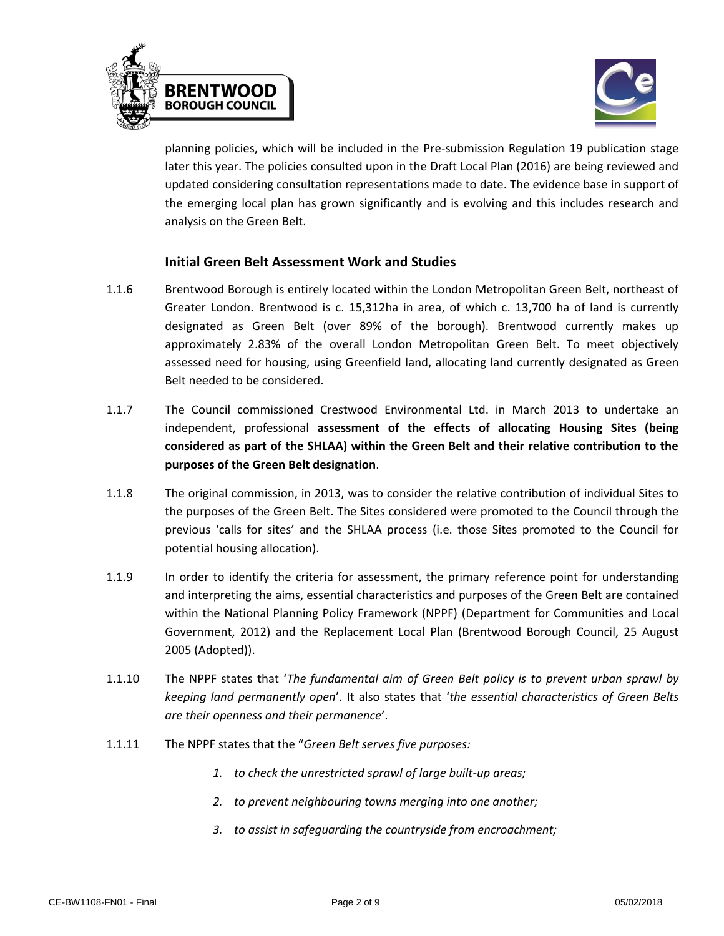



planning policies, which will be included in the Pre-submission Regulation 19 publication stage later this year. The policies consulted upon in the Draft Local Plan (2016) are being reviewed and updated considering consultation representations made to date. The evidence base in support of the emerging local plan has grown significantly and is evolving and this includes research and analysis on the Green Belt.

#### **Initial Green Belt Assessment Work and Studies**

- 1.1.6 Brentwood Borough is entirely located within the London Metropolitan Green Belt, northeast of Greater London. Brentwood is c. 15,312ha in area, of which c. 13,700 ha of land is currently designated as Green Belt (over 89% of the borough). Brentwood currently makes up approximately 2.83% of the overall London Metropolitan Green Belt. To meet objectively assessed need for housing, using Greenfield land, allocating land currently designated as Green Belt needed to be considered.
- 1.1.7 The Council commissioned Crestwood Environmental Ltd. in March 2013 to undertake an independent, professional **assessment of the effects of allocating Housing Sites (being considered as part of the SHLAA) within the Green Belt and their relative contribution to the purposes of the Green Belt designation**.
- 1.1.8 The original commission, in 2013, was to consider the relative contribution of individual Sites to the purposes of the Green Belt. The Sites considered were promoted to the Council through the previous 'calls for sites' and the SHLAA process (i.e. those Sites promoted to the Council for potential housing allocation).
- 1.1.9 In order to identify the criteria for assessment, the primary reference point for understanding and interpreting the aims, essential characteristics and purposes of the Green Belt are contained within the National Planning Policy Framework (NPPF) (Department for Communities and Local Government, 2012) and the Replacement Local Plan (Brentwood Borough Council, 25 August 2005 (Adopted)).
- 1.1.10 The NPPF states that '*The fundamental aim of Green Belt policy is to prevent urban sprawl by keeping land permanently open*'. It also states that '*the essential characteristics of Green Belts are their openness and their permanence*'.
- 1.1.11 The NPPF states that the "*Green Belt serves five purposes:*
	- *1. to check the unrestricted sprawl of large built-up areas;*
	- *2. to prevent neighbouring towns merging into one another;*
	- *3. to assist in safeguarding the countryside from encroachment;*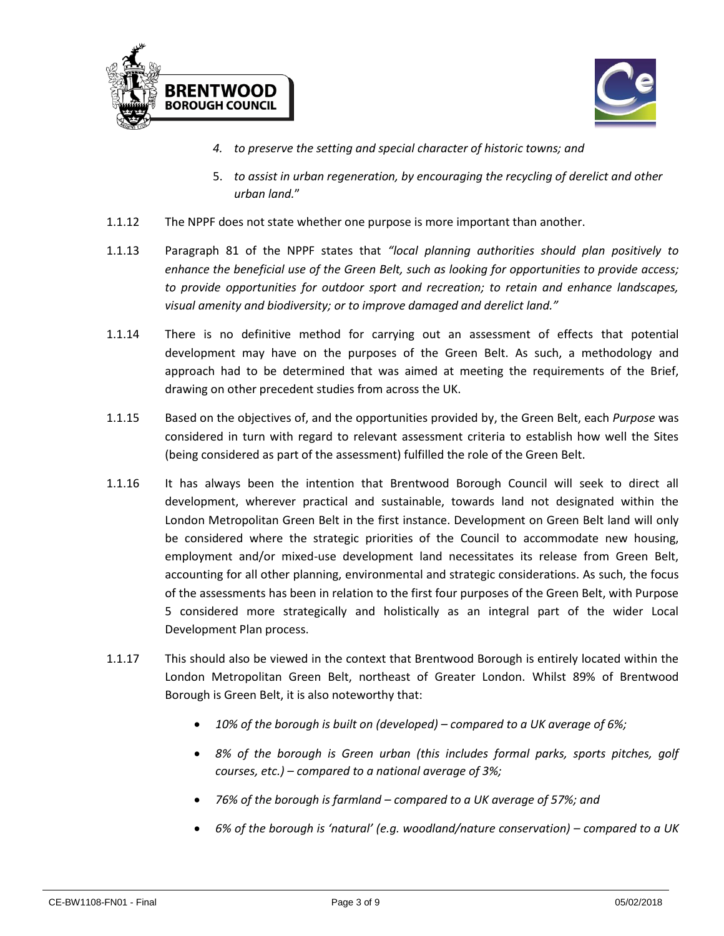



- *4. to preserve the setting and special character of historic towns; and*
- 5. *to assist in urban regeneration, by encouraging the recycling of derelict and other urban land.*"
- 1.1.12 The NPPF does not state whether one purpose is more important than another.
- 1.1.13 Paragraph 81 of the NPPF states that *"local planning authorities should plan positively to enhance the beneficial use of the Green Belt, such as looking for opportunities to provide access; to provide opportunities for outdoor sport and recreation; to retain and enhance landscapes, visual amenity and biodiversity; or to improve damaged and derelict land."*
- 1.1.14 There is no definitive method for carrying out an assessment of effects that potential development may have on the purposes of the Green Belt. As such, a methodology and approach had to be determined that was aimed at meeting the requirements of the Brief, drawing on other precedent studies from across the UK.
- 1.1.15 Based on the objectives of, and the opportunities provided by, the Green Belt, each *Purpose* was considered in turn with regard to relevant assessment criteria to establish how well the Sites (being considered as part of the assessment) fulfilled the role of the Green Belt.
- 1.1.16 It has always been the intention that Brentwood Borough Council will seek to direct all development, wherever practical and sustainable, towards land not designated within the London Metropolitan Green Belt in the first instance. Development on Green Belt land will only be considered where the strategic priorities of the Council to accommodate new housing, employment and/or mixed-use development land necessitates its release from Green Belt, accounting for all other planning, environmental and strategic considerations. As such, the focus of the assessments has been in relation to the first four purposes of the Green Belt, with Purpose 5 considered more strategically and holistically as an integral part of the wider Local Development Plan process.
- 1.1.17 This should also be viewed in the context that Brentwood Borough is entirely located within the London Metropolitan Green Belt, northeast of Greater London. Whilst 89% of Brentwood Borough is Green Belt, it is also noteworthy that:
	- *10% of the borough is built on (developed) – compared to a UK average of 6%;*
	- *8% of the borough is Green urban (this includes formal parks, sports pitches, golf courses, etc.) – compared to a national average of 3%;*
	- *76% of the borough is farmland – compared to a UK average of 57%; and*
	- *6% of the borough is 'natural' (e.g. woodland/nature conservation) – compared to a UK*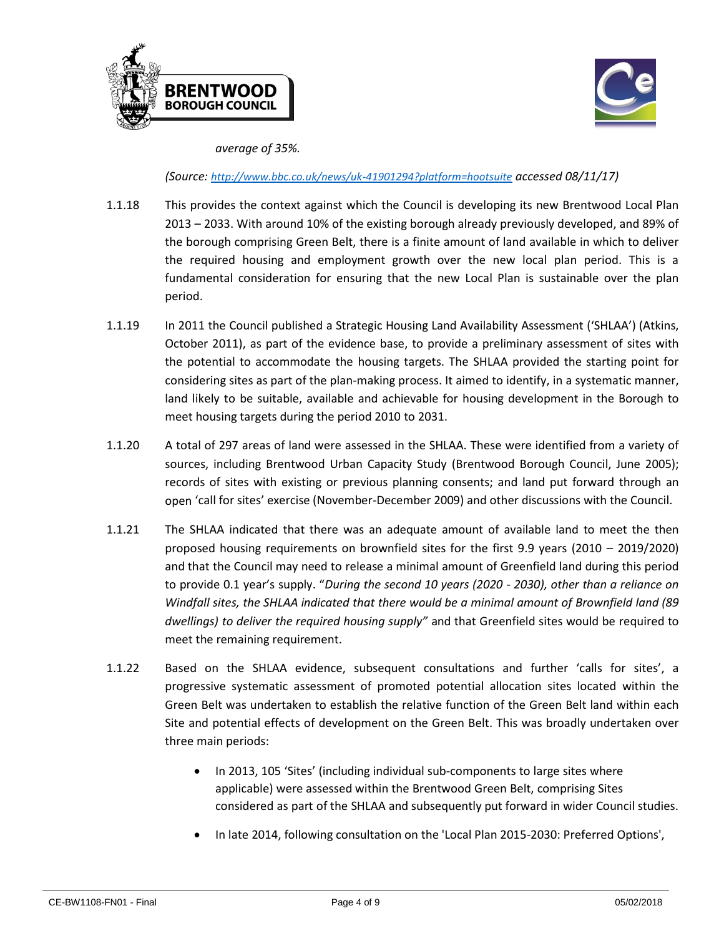



*average of 35%.*

*(Source: <http://www.bbc.co.uk/news/uk-41901294?platform=hootsuite> accessed 08/11/17)*

- 1.1.18 This provides the context against which the Council is developing its new Brentwood Local Plan 2013 – 2033. With around 10% of the existing borough already previously developed, and 89% of the borough comprising Green Belt, there is a finite amount of land available in which to deliver the required housing and employment growth over the new local plan period. This is a fundamental consideration for ensuring that the new Local Plan is sustainable over the plan period.
- 1.1.19 In 2011 the Council published a Strategic Housing Land Availability Assessment ('SHLAA') (Atkins, October 2011), as part of the evidence base, to provide a preliminary assessment of sites with the potential to accommodate the housing targets. The SHLAA provided the starting point for considering sites as part of the plan-making process. It aimed to identify, in a systematic manner, land likely to be suitable, available and achievable for housing development in the Borough to meet housing targets during the period 2010 to 2031.
- 1.1.20 A total of 297 areas of land were assessed in the SHLAA. These were identified from a variety of sources, including Brentwood Urban Capacity Study (Brentwood Borough Council, June 2005); records of sites with existing or previous planning consents; and land put forward through an open 'call for sites' exercise (November-December 2009) and other discussions with the Council.
- 1.1.21 The SHLAA indicated that there was an adequate amount of available land to meet the then proposed housing requirements on brownfield sites for the first 9.9 years (2010 – 2019/2020) and that the Council may need to release a minimal amount of Greenfield land during this period to provide 0.1 year's supply. "*During the second 10 years (2020 - 2030), other than a reliance on Windfall sites, the SHLAA indicated that there would be a minimal amount of Brownfield land (89 dwellings) to deliver the required housing supply"* and that Greenfield sites would be required to meet the remaining requirement.
- 1.1.22 Based on the SHLAA evidence, subsequent consultations and further 'calls for sites', a progressive systematic assessment of promoted potential allocation sites located within the Green Belt was undertaken to establish the relative function of the Green Belt land within each Site and potential effects of development on the Green Belt. This was broadly undertaken over three main periods:
	- In 2013, 105 'Sites' (including individual sub-components to large sites where applicable) were assessed within the Brentwood Green Belt, comprising Sites considered as part of the SHLAA and subsequently put forward in wider Council studies.
	- In late 2014, following consultation on the 'Local Plan 2015-2030: Preferred Options',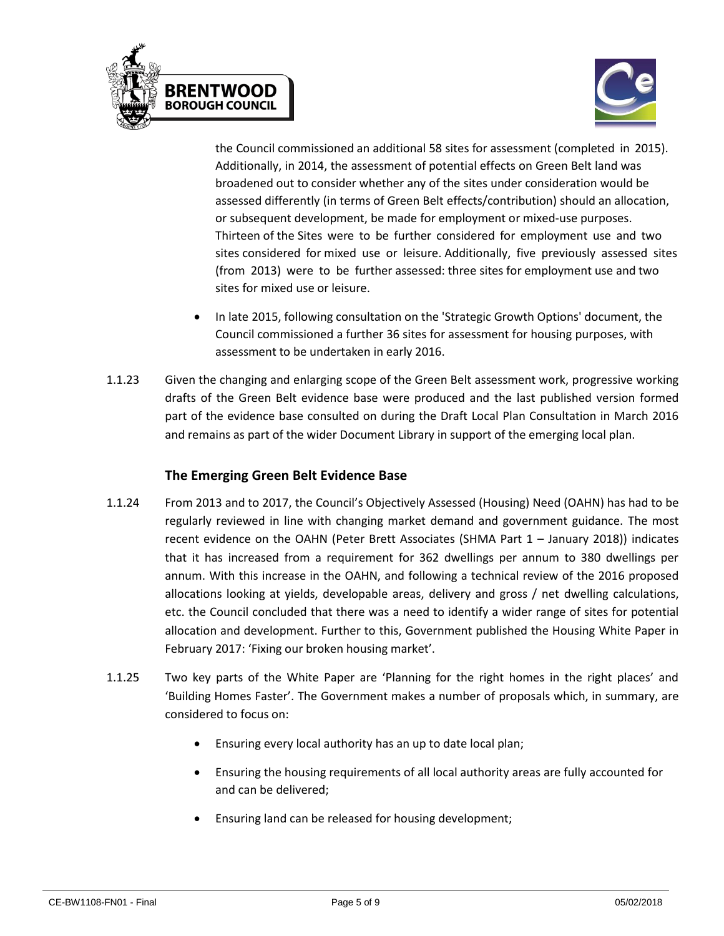



the Council commissioned an additional 58 sites for assessment (completed in 2015). Additionally, in 2014, the assessment of potential effects on Green Belt land was broadened out to consider whether any of the sites under consideration would be assessed differently (in terms of Green Belt effects/contribution) should an allocation, or subsequent development, be made for employment or mixed-use purposes. Thirteen of the Sites were to be further considered for employment use and two sites considered for mixed use or leisure. Additionally, five previously assessed sites (from 2013) were to be further assessed: three sites for employment use and two sites for mixed use or leisure.

- In late 2015, following consultation on the 'Strategic Growth Options' document, the Council commissioned a further 36 sites for assessment for housing purposes, with assessment to be undertaken in early 2016.
- 1.1.23 Given the changing and enlarging scope of the Green Belt assessment work, progressive working drafts of the Green Belt evidence base were produced and the last published version formed part of the evidence base consulted on during the Draft Local Plan Consultation in March 2016 and remains as part of the wider Document Library in support of the emerging local plan.

### **The Emerging Green Belt Evidence Base**

- 1.1.24 From 2013 and to 2017, the Council's Objectively Assessed (Housing) Need (OAHN) has had to be regularly reviewed in line with changing market demand and government guidance. The most recent evidence on the OAHN (Peter Brett Associates (SHMA Part 1 – January 2018)) indicates that it has increased from a requirement for 362 dwellings per annum to 380 dwellings per annum. With this increase in the OAHN, and following a technical review of the 2016 proposed allocations looking at yields, developable areas, delivery and gross / net dwelling calculations, etc. the Council concluded that there was a need to identify a wider range of sites for potential allocation and development. Further to this, Government published the Housing White Paper in February 2017: 'Fixing our broken housing market'.
- 1.1.25 Two key parts of the White Paper are 'Planning for the right homes in the right places' and 'Building Homes Faster'. The Government makes a number of proposals which, in summary, are considered to focus on:
	- Ensuring every local authority has an up to date local plan;
	- Ensuring the housing requirements of all local authority areas are fully accounted for and can be delivered;
	- Ensuring land can be released for housing development;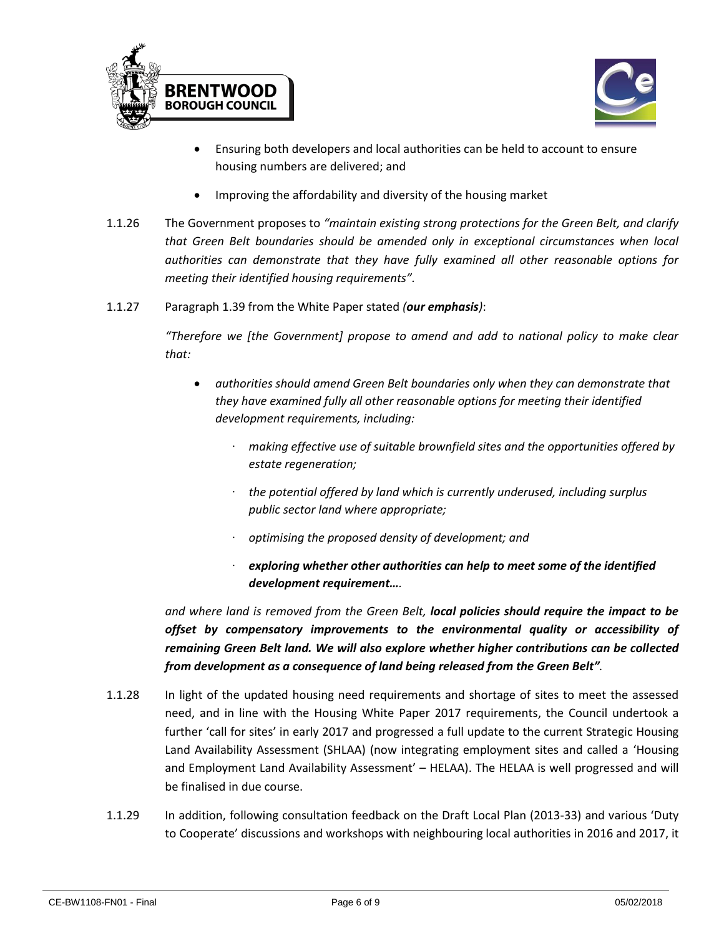



- Ensuring both developers and local authorities can be held to account to ensure housing numbers are delivered; and
- Improving the affordability and diversity of the housing market
- 1.1.26 The Government proposes to *"maintain existing strong protections for the Green Belt, and clarify that Green Belt boundaries should be amended only in exceptional circumstances when local authorities can demonstrate that they have fully examined all other reasonable options for meeting their identified housing requirements".*
- 1.1.27 Paragraph 1.39 from the White Paper stated *(our emphasis)*:

*"Therefore we [the Government] propose to amend and add to national policy to make clear that:*

- *authorities should amend Green Belt boundaries only when they can demonstrate that they have examined fully all other reasonable options for meeting their identified development requirements, including:* 
	- ∙ *making effective use of suitable brownfield sites and the opportunities offered by estate regeneration;*
	- ∙ *the potential offered by land which is currently underused, including surplus public sector land where appropriate;*
	- ∙ *optimising the proposed density of development; and*
	- ∙ *exploring whether other authorities can help to meet some of the identified development requirement….*

*and where land is removed from the Green Belt, local policies should require the impact to be offset by compensatory improvements to the environmental quality or accessibility of remaining Green Belt land. We will also explore whether higher contributions can be collected from development as a consequence of land being released from the Green Belt".*

- 1.1.28 In light of the updated housing need requirements and shortage of sites to meet the assessed need, and in line with the Housing White Paper 2017 requirements, the Council undertook a further 'call for sites' in early 2017 and progressed a full update to the current Strategic Housing Land Availability Assessment (SHLAA) (now integrating employment sites and called a 'Housing and Employment Land Availability Assessment' – HELAA). The HELAA is well progressed and will be finalised in due course.
- 1.1.29 In addition, following consultation feedback on the Draft Local Plan (2013-33) and various 'Duty to Cooperate' discussions and workshops with neighbouring local authorities in 2016 and 2017, it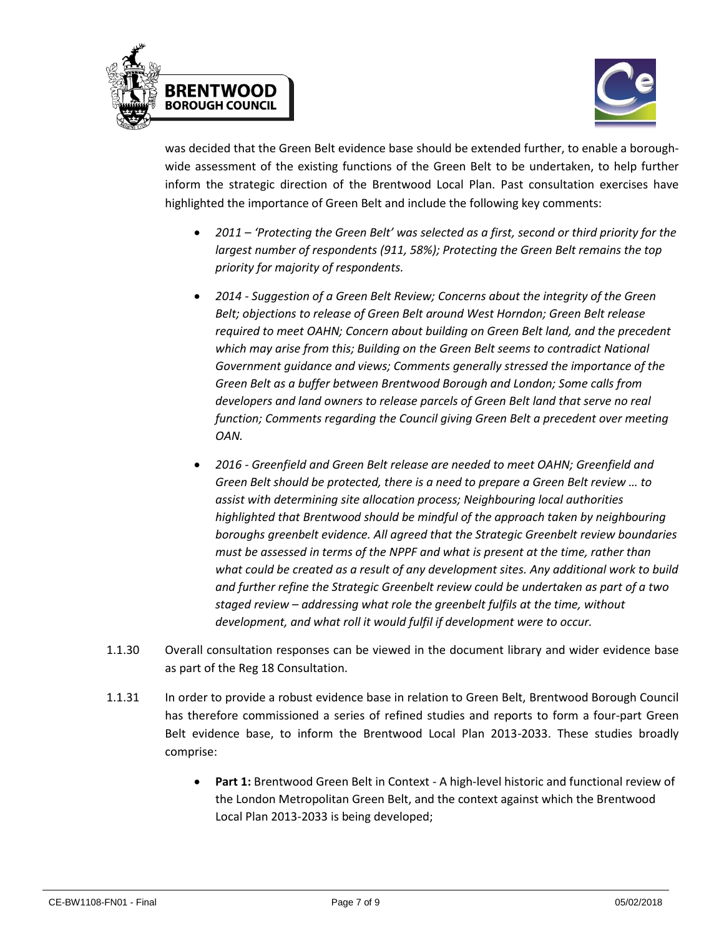



was decided that the Green Belt evidence base should be extended further, to enable a boroughwide assessment of the existing functions of the Green Belt to be undertaken, to help further inform the strategic direction of the Brentwood Local Plan. Past consultation exercises have highlighted the importance of Green Belt and include the following key comments:

- *2011 – 'Protecting the Green Belt' was selected as a first, second or third priority for the largest number of respondents (911, 58%); Protecting the Green Belt remains the top priority for majority of respondents.*
- *2014 - Suggestion of a Green Belt Review; Concerns about the integrity of the Green Belt; objections to release of Green Belt around West Horndon; Green Belt release required to meet OAHN; Concern about building on Green Belt land, and the precedent which may arise from this; Building on the Green Belt seems to contradict National Government guidance and views; Comments generally stressed the importance of the Green Belt as a buffer between Brentwood Borough and London; Some calls from developers and land owners to release parcels of Green Belt land that serve no real function; Comments regarding the Council giving Green Belt a precedent over meeting OAN.*
- *2016 - Greenfield and Green Belt release are needed to meet OAHN; Greenfield and Green Belt should be protected, there is a need to prepare a Green Belt review … to assist with determining site allocation process; Neighbouring local authorities highlighted that Brentwood should be mindful of the approach taken by neighbouring boroughs greenbelt evidence. All agreed that the Strategic Greenbelt review boundaries must be assessed in terms of the NPPF and what is present at the time, rather than what could be created as a result of any development sites. Any additional work to build and further refine the Strategic Greenbelt review could be undertaken as part of a two staged review – addressing what role the greenbelt fulfils at the time, without development, and what roll it would fulfil if development were to occur.*
- 1.1.30 Overall consultation responses can be viewed in the document library and wider evidence base as part of the Reg 18 Consultation.
- 1.1.31 In order to provide a robust evidence base in relation to Green Belt, Brentwood Borough Council has therefore commissioned a series of refined studies and reports to form a four-part Green Belt evidence base, to inform the Brentwood Local Plan 2013-2033. These studies broadly comprise:
	- **Part 1:** Brentwood Green Belt in Context A high-level historic and functional review of the London Metropolitan Green Belt, and the context against which the Brentwood Local Plan 2013-2033 is being developed;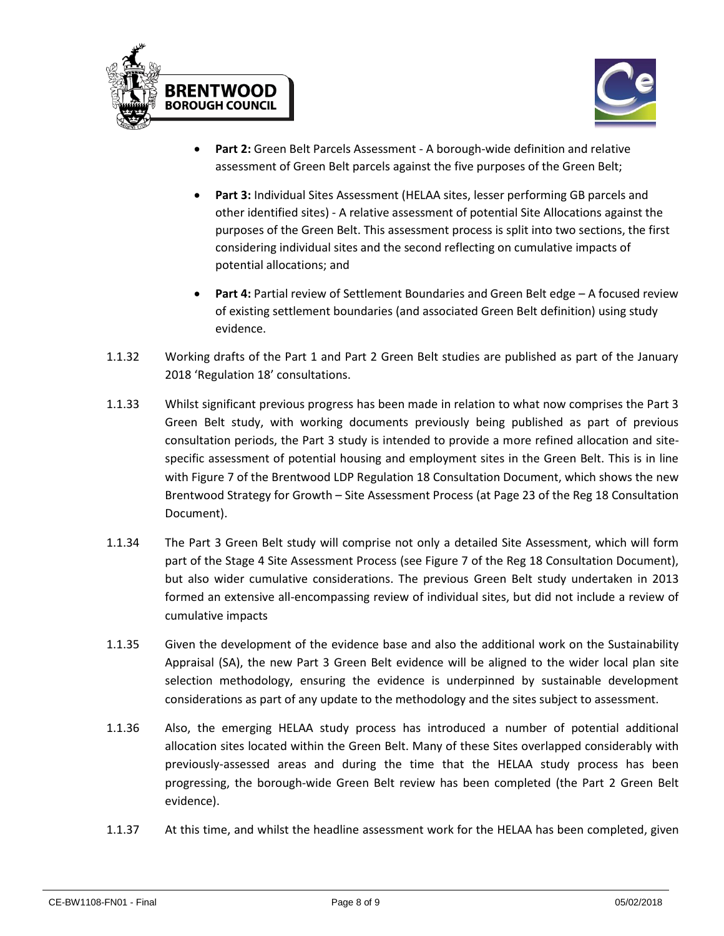



- **Part 2:** Green Belt Parcels Assessment A borough-wide definition and relative assessment of Green Belt parcels against the five purposes of the Green Belt;
- **Part 3:** Individual Sites Assessment (HELAA sites, lesser performing GB parcels and other identified sites) - A relative assessment of potential Site Allocations against the purposes of the Green Belt. This assessment process is split into two sections, the first considering individual sites and the second reflecting on cumulative impacts of potential allocations; and
- **Part 4:** Partial review of Settlement Boundaries and Green Belt edge A focused review of existing settlement boundaries (and associated Green Belt definition) using study evidence.
- 1.1.32 Working drafts of the Part 1 and Part 2 Green Belt studies are published as part of the January 2018 'Regulation 18' consultations.
- 1.1.33 Whilst significant previous progress has been made in relation to what now comprises the Part 3 Green Belt study, with working documents previously being published as part of previous consultation periods, the Part 3 study is intended to provide a more refined allocation and sitespecific assessment of potential housing and employment sites in the Green Belt. This is in line with Figure 7 of the Brentwood LDP Regulation 18 Consultation Document, which shows the new Brentwood Strategy for Growth – Site Assessment Process (at Page 23 of the Reg 18 Consultation Document).
- 1.1.34 The Part 3 Green Belt study will comprise not only a detailed Site Assessment, which will form part of the Stage 4 Site Assessment Process (see Figure 7 of the Reg 18 Consultation Document), but also wider cumulative considerations. The previous Green Belt study undertaken in 2013 formed an extensive all-encompassing review of individual sites, but did not include a review of cumulative impacts
- 1.1.35 Given the development of the evidence base and also the additional work on the Sustainability Appraisal (SA), the new Part 3 Green Belt evidence will be aligned to the wider local plan site selection methodology, ensuring the evidence is underpinned by sustainable development considerations as part of any update to the methodology and the sites subject to assessment.
- 1.1.36 Also, the emerging HELAA study process has introduced a number of potential additional allocation sites located within the Green Belt. Many of these Sites overlapped considerably with previously-assessed areas and during the time that the HELAA study process has been progressing, the borough-wide Green Belt review has been completed (the Part 2 Green Belt evidence).
- 1.1.37 At this time, and whilst the headline assessment work for the HELAA has been completed, given